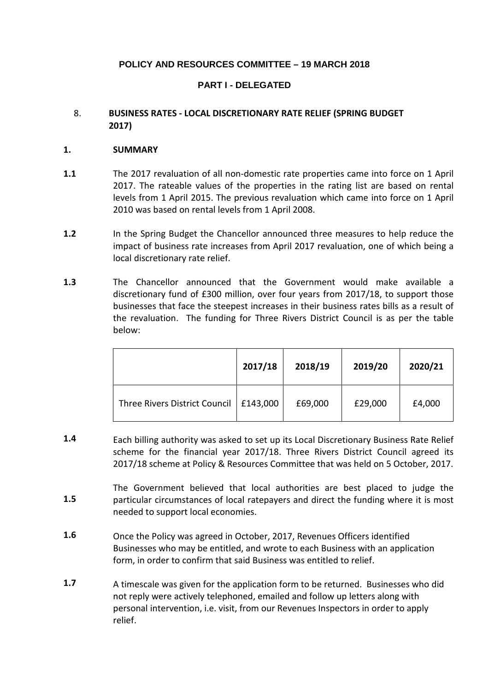# **POLICY AND RESOURCES COMMITTEE – 19 MARCH 2018**

# **PART I - DELEGATED**

## 8. **BUSINESS RATES - LOCAL DISCRETIONARY RATE RELIEF (SPRING BUDGET 2017)**

## **1. SUMMARY**

- **1.1** The 2017 revaluation of all non-domestic rate properties came into force on 1 April 2017. The rateable values of the properties in the rating list are based on rental levels from 1 April 2015. The previous revaluation which came into force on 1 April 2010 was based on rental levels from 1 April 2008.
- **1.2** In the Spring Budget the Chancellor announced three measures to help reduce the impact of business rate increases from April 2017 revaluation, one of which being a local discretionary rate relief.
- **1.3** The Chancellor announced that the Government would make available a discretionary fund of £300 million, over four years from 2017/18, to support those businesses that face the steepest increases in their business rates bills as a result of the revaluation. The funding for Three Rivers District Council is as per the table below:

|                               | 2017/18  | 2018/19 | 2019/20 | 2020/21 |
|-------------------------------|----------|---------|---------|---------|
| Three Rivers District Council | £143,000 | £69,000 | £29,000 | £4,000  |

- **1.4** Each billing authority was asked to set up its Local Discretionary Business Rate Relief scheme for the financial year 2017/18. Three Rivers District Council agreed its 2017/18 scheme at Policy & Resources Committee that was held on 5 October, 2017.
- **1.5** The Government believed that local authorities are best placed to judge the particular circumstances of local ratepayers and direct the funding where it is most needed to support local economies.
- **1.6** Once the Policy was agreed in October, 2017, Revenues Officers identified Businesses who may be entitled, and wrote to each Business with an application form, in order to confirm that said Business was entitled to relief.
- **1.7** A timescale was given for the application form to be returned. Businesses who did not reply were actively telephoned, emailed and follow up letters along with personal intervention, i.e. visit, from our Revenues Inspectors in order to apply relief.